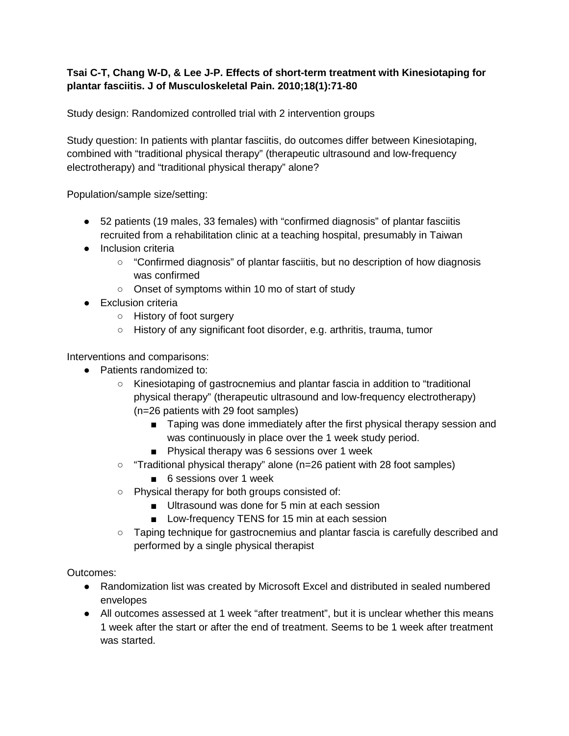## **Tsai C-T, Chang W-D, & Lee J-P. Effects of short-term treatment with Kinesiotaping for plantar fasciitis. J of Musculoskeletal Pain. 2010;18(1):71-80**

Study design: Randomized controlled trial with 2 intervention groups

Study question: In patients with plantar fasciitis, do outcomes differ between Kinesiotaping, combined with "traditional physical therapy" (therapeutic ultrasound and low-frequency electrotherapy) and "traditional physical therapy" alone?

Population/sample size/setting:

- 52 patients (19 males, 33 females) with "confirmed diagnosis" of plantar fasciitis recruited from a rehabilitation clinic at a teaching hospital, presumably in Taiwan
- Inclusion criteria
	- "Confirmed diagnosis" of plantar fasciitis, but no description of how diagnosis was confirmed
	- Onset of symptoms within 10 mo of start of study
- Exclusion criteria
	- History of foot surgery
	- History of any significant foot disorder, e.g. arthritis, trauma, tumor

Interventions and comparisons:

- Patients randomized to:
	- Kinesiotaping of gastrocnemius and plantar fascia in addition to "traditional physical therapy" (therapeutic ultrasound and low-frequency electrotherapy) (n=26 patients with 29 foot samples)
		- Taping was done immediately after the first physical therapy session and was continuously in place over the 1 week study period.
		- Physical therapy was 6 sessions over 1 week
	- "Traditional physical therapy" alone (n=26 patient with 28 foot samples)
		- 6 sessions over 1 week
	- Physical therapy for both groups consisted of:
		- Ultrasound was done for 5 min at each session
		- Low-frequency TENS for 15 min at each session
	- Taping technique for gastrocnemius and plantar fascia is carefully described and performed by a single physical therapist

Outcomes:

- Randomization list was created by Microsoft Excel and distributed in sealed numbered envelopes
- All outcomes assessed at 1 week "after treatment", but it is unclear whether this means 1 week after the start or after the end of treatment. Seems to be 1 week after treatment was started.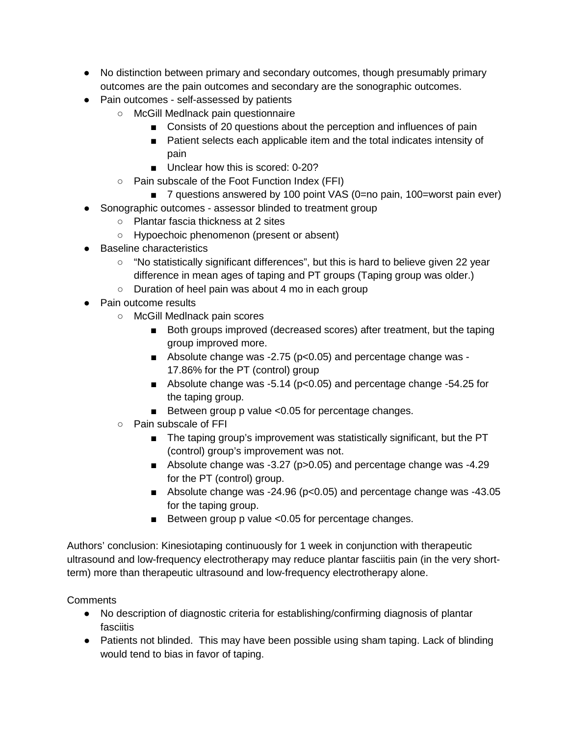- No distinction between primary and secondary outcomes, though presumably primary outcomes are the pain outcomes and secondary are the sonographic outcomes.
- Pain outcomes self-assessed by patients
	- McGill Medlnack pain questionnaire
		- Consists of 20 questions about the perception and influences of pain
		- Patient selects each applicable item and the total indicates intensity of pain
		- Unclear how this is scored: 0-20?
	- Pain subscale of the Foot Function Index (FFI)
		- 7 questions answered by 100 point VAS (0=no pain, 100=worst pain ever)
- Sonographic outcomes assessor blinded to treatment group
	- Plantar fascia thickness at 2 sites
	- Hypoechoic phenomenon (present or absent)
- Baseline characteristics
	- "No statistically significant differences", but this is hard to believe given 22 year difference in mean ages of taping and PT groups (Taping group was older.)
	- Duration of heel pain was about 4 mo in each group
- Pain outcome results
	- McGill Medlnack pain scores
		- Both groups improved (decreased scores) after treatment, but the taping group improved more.
		- Absolute change was -2.75 (p<0.05) and percentage change was -17.86% for the PT (control) group
		- Absolute change was -5.14 (p<0.05) and percentage change -54.25 for the taping group.
		- Between group p value <0.05 for percentage changes.
	- Pain subscale of FFI
		- The taping group's improvement was statistically significant, but the PT (control) group's improvement was not.
		- Absolute change was -3.27 (p>0.05) and percentage change was -4.29 for the PT (control) group.
		- Absolute change was  $-24.96$  (p<0.05) and percentage change was  $-43.05$ for the taping group.
		- Between group p value <0.05 for percentage changes.

Authors' conclusion: Kinesiotaping continuously for 1 week in conjunction with therapeutic ultrasound and low-frequency electrotherapy may reduce plantar fasciitis pain (in the very shortterm) more than therapeutic ultrasound and low-frequency electrotherapy alone.

## **Comments**

- No description of diagnostic criteria for establishing/confirming diagnosis of plantar fasciitis
- Patients not blinded. This may have been possible using sham taping. Lack of blinding would tend to bias in favor of taping.